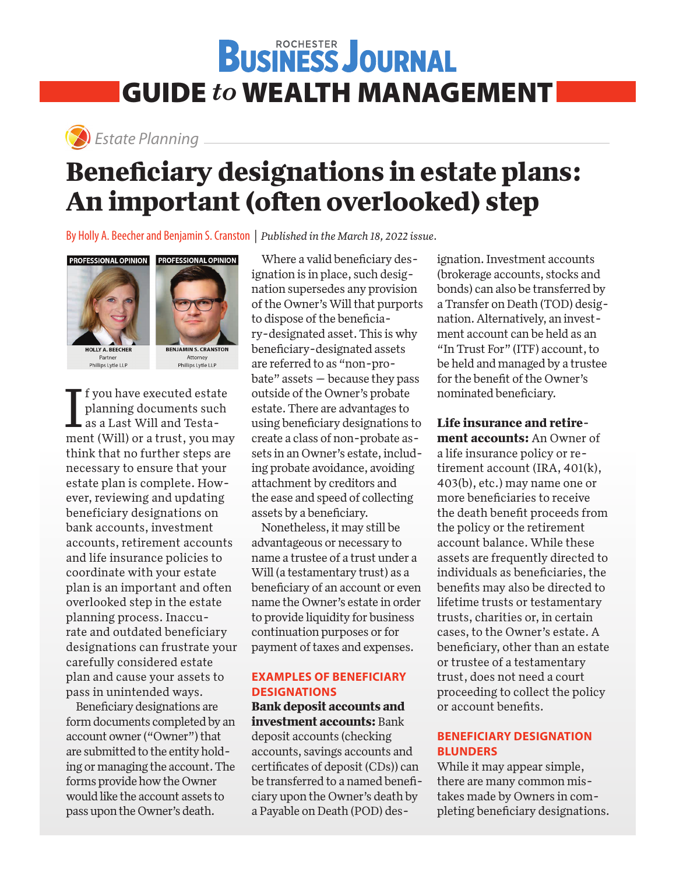## **BUSINESS JOURNAL** GUIDE *to* WEALTH MANAGEMENT



### Estate Planning **Beneficiary designations in estate plans: An important (often overlooked) step**

By Holly A. Beecher and Benjamin S. Cranston | *Published in the March 18, 2022 issue.*



Partner Phillips Lytle LLP



Attorney Phillips Lytle LLP

I f you have executed estate<br>planning documents such<br>as a Last Will and Testa-<br>ment (Will) or a trust, you may f you have executed estate planning documents such as a Last Will and Testathink that no further steps are necessary to ensure that your estate plan is complete. However, reviewing and updating beneficiary designations on bank accounts, investment accounts, retirement accounts and life insurance policies to coordinate with your estate plan is an important and often overlooked step in the estate planning process. Inaccurate and outdated beneficiary designations can frustrate your carefully considered estate plan and cause your assets to pass in unintended ways.

Beneficiary designations are form documents completed by an account owner ("Owner") that are submitted to the entity holding or managing the account. The forms provide how the Owner would like the account assets to pass upon the Owner's death.

Where a valid beneficiary designation is in place, such designation supersedes any provision of the Owner's Will that purports to dispose of the beneficiary-designated asset. This is why beneficiary-designated assets are referred to as "non-probate" assets — because they pass outside of the Owner's probate estate. There are advantages to using beneficiary designations to create a class of non-probate assets in an Owner's estate, including probate avoidance, avoiding attachment by creditors and the ease and speed of collecting assets by a beneficiary.

Nonetheless, it may still be advantageous or necessary to name a trustee of a trust under a Will (a testamentary trust) as a beneficiary of an account or even name the Owner's estate in order to provide liquidity for business continuation purposes or for payment of taxes and expenses.

#### **EXAMPLES OF BENEFICIARY DESIGNATIONS**

#### **Bank deposit accounts and investment accounts:** Bank

deposit accounts (checking accounts, savings accounts and certificates of deposit (CDs)) can be transferred to a named beneficiary upon the Owner's death by a Payable on Death (POD) des-

ignation. Investment accounts (brokerage accounts, stocks and bonds) can also be transferred by a Transfer on Death (TOD) designation. Alternatively, an investment account can be held as an "In Trust For" (ITF) account, to be held and managed by a trustee for the benefit of the Owner's nominated beneficiary.

**Life insurance and retire-**

**ment accounts:** An Owner of a life insurance policy or retirement account (IRA, 401(k), 403(b), etc.) may name one or more beneficiaries to receive the death benefit proceeds from the policy or the retirement account balance. While these assets are frequently directed to individuals as beneficiaries, the benefits may also be directed to lifetime trusts or testamentary trusts, charities or, in certain cases, to the Owner's estate. A beneficiary, other than an estate or trustee of a testamentary trust, does not need a court proceeding to collect the policy or account benefits.

#### **BENEFICIARY DESIGNATION BLUNDERS**

While it may appear simple, there are many common mistakes made by Owners in completing beneficiary designations.